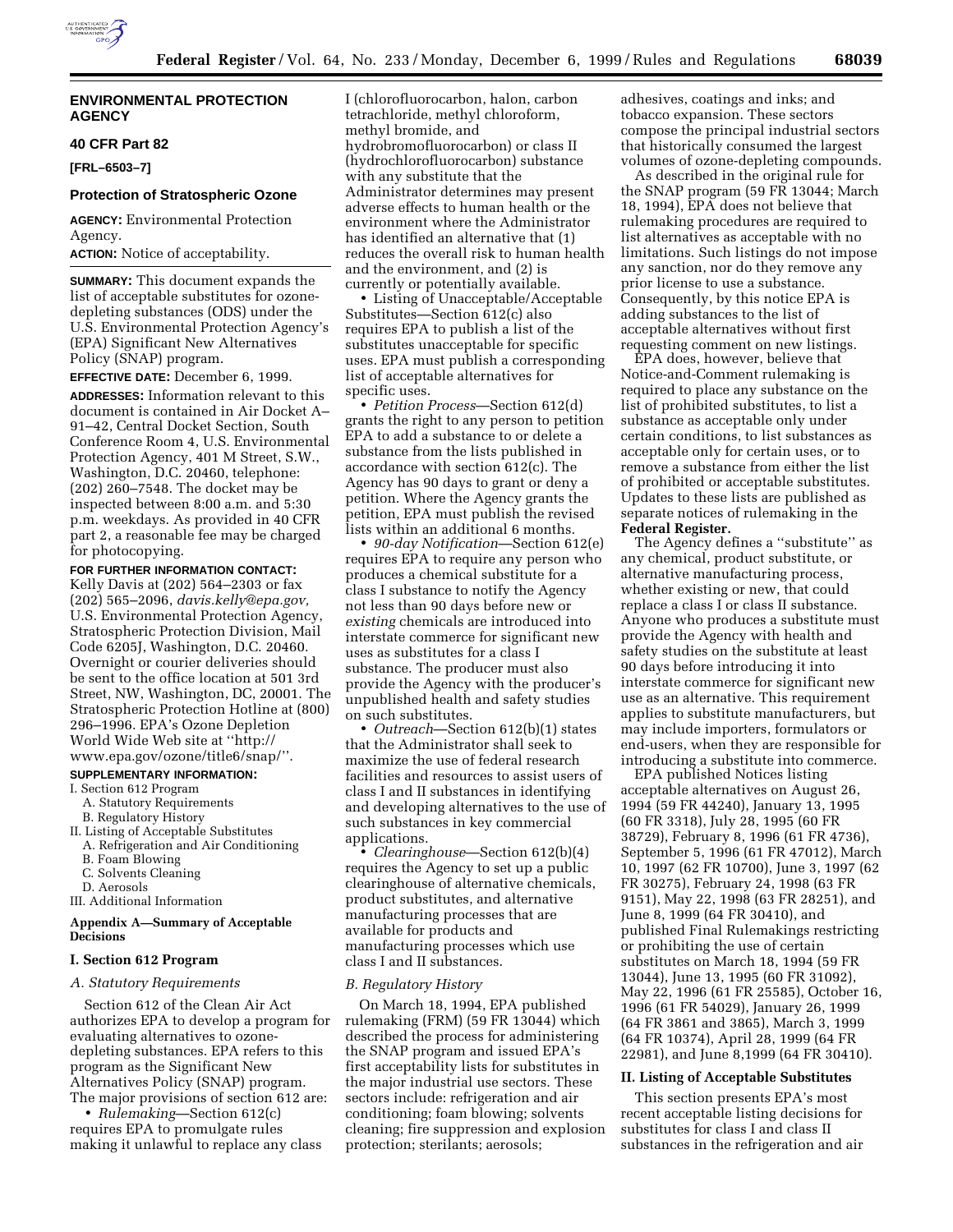

# **ENVIRONMENTAL PROTECTION AGENCY**

# **40 CFR Part 82**

**[FRL–6503–7]**

## **Protection of Stratospheric Ozone**

**AGENCY:** Environmental Protection Agency.

**ACTION:** Notice of acceptability.

**SUMMARY:** This document expands the list of acceptable substitutes for ozonedepleting substances (ODS) under the U.S. Environmental Protection Agency's (EPA) Significant New Alternatives Policy (SNAP) program.

### **EFFECTIVE DATE:** December 6, 1999.

**ADDRESSES:** Information relevant to this document is contained in Air Docket A– 91–42, Central Docket Section, South Conference Room 4, U.S. Environmental Protection Agency, 401 M Street, S.W., Washington, D.C. 20460, telephone: (202) 260–7548. The docket may be inspected between 8:00 a.m. and 5:30 p.m. weekdays. As provided in 40 CFR part 2, a reasonable fee may be charged for photocopying.

## **FOR FURTHER INFORMATION CONTACT:**

Kelly Davis at (202) 564–2303 or fax (202) 565–2096, *davis.kelly@epa.gov,* U.S. Environmental Protection Agency, Stratospheric Protection Division, Mail Code 6205J, Washington, D.C. 20460. Overnight or courier deliveries should be sent to the office location at 501 3rd Street, NW, Washington, DC, 20001. The Stratospheric Protection Hotline at (800) 296–1996. EPA's Ozone Depletion World Wide Web site at ''http:// www.epa.gov/ozone/title6/snap/''.

#### **SUPPLEMENTARY INFORMATION:**

- I. Section 612 Program
	- A. Statutory Requirements
	- B. Regulatory History
- II. Listing of Acceptable Substitutes
- A. Refrigeration and Air Conditioning
- B. Foam Blowing
- C. Solvents Cleaning
- D. Aerosols
- III. Additional Information

### **Appendix A—Summary of Acceptable Decisions**

# **I. Section 612 Program**

#### *A. Statutory Requirements*

Section 612 of the Clean Air Act authorizes EPA to develop a program for evaluating alternatives to ozonedepleting substances. EPA refers to this program as the Significant New Alternatives Policy (SNAP) program. The major provisions of section 612 are:

• *Rulemaking*—Section 612(c) requires EPA to promulgate rules making it unlawful to replace any class I (chlorofluorocarbon, halon, carbon tetrachloride, methyl chloroform, methyl bromide, and hydrobromofluorocarbon) or class II (hydrochlorofluorocarbon) substance with any substitute that the Administrator determines may present adverse effects to human health or the environment where the Administrator has identified an alternative that (1) reduces the overall risk to human health and the environment, and (2) is currently or potentially available.

• Listing of Unacceptable/Acceptable Substitutes—Section 612(c) also requires EPA to publish a list of the substitutes unacceptable for specific uses. EPA must publish a corresponding list of acceptable alternatives for specific uses.

• *Petition Process*—Section 612(d) grants the right to any person to petition EPA to add a substance to or delete a substance from the lists published in accordance with section 612(c). The Agency has 90 days to grant or deny a petition. Where the Agency grants the petition, EPA must publish the revised lists within an additional 6 months.

• *90-day Notification*—Section 612(e) requires EPA to require any person who produces a chemical substitute for a class I substance to notify the Agency not less than 90 days before new or *existing* chemicals are introduced into interstate commerce for significant new uses as substitutes for a class I substance. The producer must also provide the Agency with the producer's unpublished health and safety studies on such substitutes.

• *Outreach*—Section 612(b)(1) states that the Administrator shall seek to maximize the use of federal research facilities and resources to assist users of class I and II substances in identifying and developing alternatives to the use of such substances in key commercial applications.

• *Clearinghouse*—Section 612(b)(4) requires the Agency to set up a public clearinghouse of alternative chemicals, product substitutes, and alternative manufacturing processes that are available for products and manufacturing processes which use class I and II substances.

#### *B. Regulatory History*

On March 18, 1994, EPA published rulemaking (FRM) (59 FR 13044) which described the process for administering the SNAP program and issued EPA's first acceptability lists for substitutes in the major industrial use sectors. These sectors include: refrigeration and air conditioning; foam blowing; solvents cleaning; fire suppression and explosion protection; sterilants; aerosols;

adhesives, coatings and inks; and tobacco expansion. These sectors compose the principal industrial sectors that historically consumed the largest volumes of ozone-depleting compounds.

As described in the original rule for the SNAP program (59 FR 13044; March 18, 1994), EPA does not believe that rulemaking procedures are required to list alternatives as acceptable with no limitations. Such listings do not impose any sanction, nor do they remove any prior license to use a substance. Consequently, by this notice EPA is adding substances to the list of acceptable alternatives without first requesting comment on new listings.

EPA does, however, believe that Notice-and-Comment rulemaking is required to place any substance on the list of prohibited substitutes, to list a substance as acceptable only under certain conditions, to list substances as acceptable only for certain uses, or to remove a substance from either the list of prohibited or acceptable substitutes. Updates to these lists are published as separate notices of rulemaking in the **Federal Register.**

The Agency defines a ''substitute'' as any chemical, product substitute, or alternative manufacturing process, whether existing or new, that could replace a class I or class II substance. Anyone who produces a substitute must provide the Agency with health and safety studies on the substitute at least 90 days before introducing it into interstate commerce for significant new use as an alternative. This requirement applies to substitute manufacturers, but may include importers, formulators or end-users, when they are responsible for introducing a substitute into commerce.

EPA published Notices listing acceptable alternatives on August 26, 1994 (59 FR 44240), January 13, 1995 (60 FR 3318), July 28, 1995 (60 FR 38729), February 8, 1996 (61 FR 4736), September 5, 1996 (61 FR 47012), March 10, 1997 (62 FR 10700), June 3, 1997 (62 FR 30275), February 24, 1998 (63 FR 9151), May 22, 1998 (63 FR 28251), and June 8, 1999 (64 FR 30410), and published Final Rulemakings restricting or prohibiting the use of certain substitutes on March 18, 1994 (59 FR 13044), June 13, 1995 (60 FR 31092), May 22, 1996 (61 FR 25585), October 16, 1996 (61 FR 54029), January 26, 1999 (64 FR 3861 and 3865), March 3, 1999 (64 FR 10374), April 28, 1999 (64 FR 22981), and June 8,1999 (64 FR 30410).

## **II. Listing of Acceptable Substitutes**

This section presents EPA's most recent acceptable listing decisions for substitutes for class I and class II substances in the refrigeration and air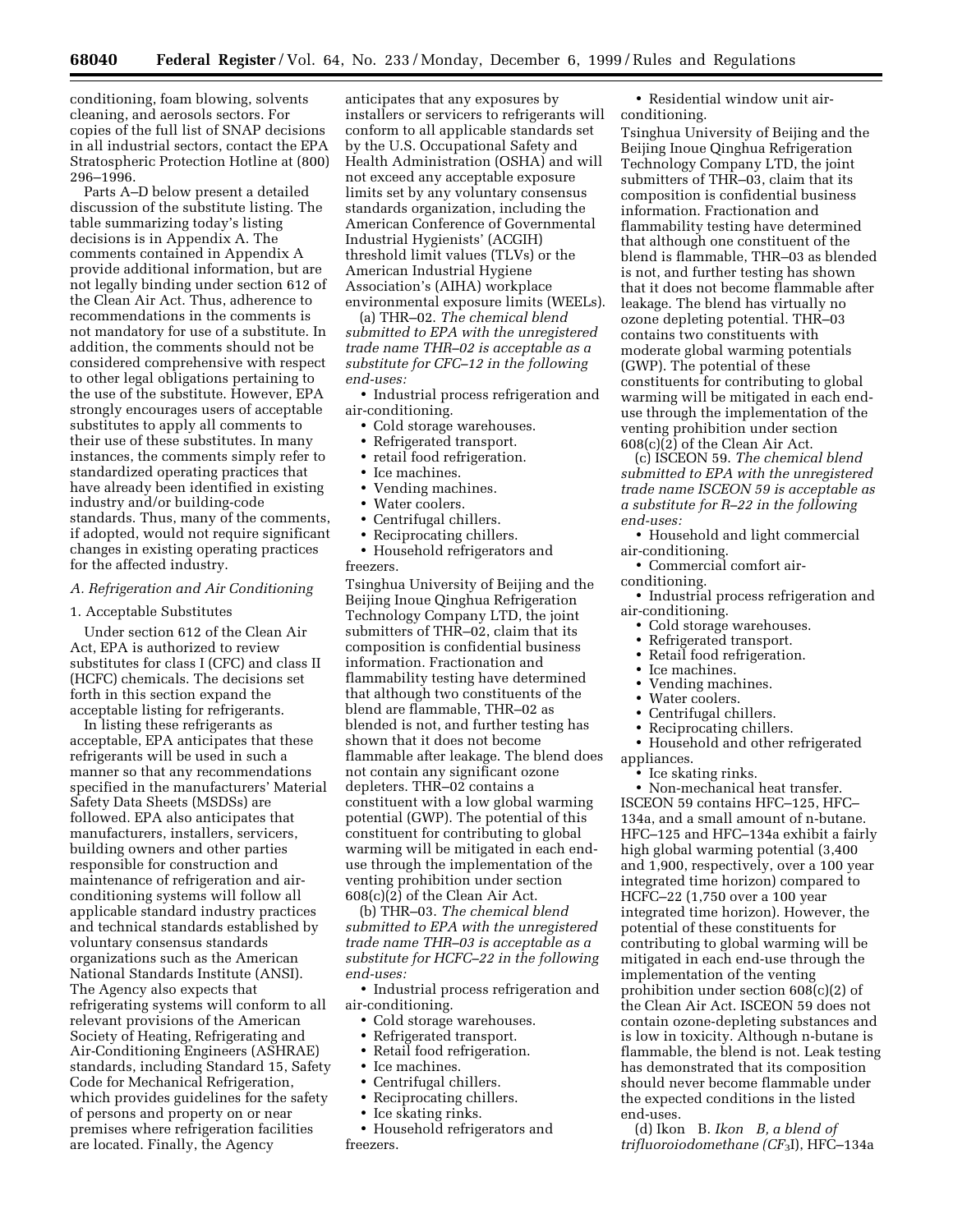conditioning, foam blowing, solvents cleaning, and aerosols sectors. For copies of the full list of SNAP decisions in all industrial sectors, contact the EPA Stratospheric Protection Hotline at (800) 296–1996.

Parts A–D below present a detailed discussion of the substitute listing. The table summarizing today's listing decisions is in Appendix A. The comments contained in Appendix A provide additional information, but are not legally binding under section 612 of the Clean Air Act. Thus, adherence to recommendations in the comments is not mandatory for use of a substitute. In addition, the comments should not be considered comprehensive with respect to other legal obligations pertaining to the use of the substitute. However, EPA strongly encourages users of acceptable substitutes to apply all comments to their use of these substitutes. In many instances, the comments simply refer to standardized operating practices that have already been identified in existing industry and/or building-code standards. Thus, many of the comments, if adopted, would not require significant changes in existing operating practices for the affected industry.

# *A. Refrigeration and Air Conditioning*

#### 1. Acceptable Substitutes

Under section 612 of the Clean Air Act, EPA is authorized to review substitutes for class I (CFC) and class II (HCFC) chemicals. The decisions set forth in this section expand the acceptable listing for refrigerants.

In listing these refrigerants as acceptable, EPA anticipates that these refrigerants will be used in such a manner so that any recommendations specified in the manufacturers' Material Safety Data Sheets (MSDSs) are followed. EPA also anticipates that manufacturers, installers, servicers, building owners and other parties responsible for construction and maintenance of refrigeration and airconditioning systems will follow all applicable standard industry practices and technical standards established by voluntary consensus standards organizations such as the American National Standards Institute (ANSI). The Agency also expects that refrigerating systems will conform to all relevant provisions of the American Society of Heating, Refrigerating and Air-Conditioning Engineers (ASHRAE) standards, including Standard 15, Safety Code for Mechanical Refrigeration, which provides guidelines for the safety of persons and property on or near premises where refrigeration facilities are located. Finally, the Agency

anticipates that any exposures by installers or servicers to refrigerants will conform to all applicable standards set by the U.S. Occupational Safety and Health Administration (OSHA) and will not exceed any acceptable exposure limits set by any voluntary consensus standards organization, including the American Conference of Governmental Industrial Hygienists' (ACGIH) threshold limit values (TLVs) or the American Industrial Hygiene Association's (AIHA) workplace environmental exposure limits (WEELs).

(a) THR–02. *The chemical blend submitted to EPA with the unregistered trade name THR–02 is acceptable as a substitute for CFC–12 in the following end-uses:*

• Industrial process refrigeration and air-conditioning.

- Cold storage warehouses.
- Refrigerated transport.
- retail food refrigeration.
- Ice machines.
- Vending machines.
- Water coolers.
- Centrifugal chillers.
- Reciprocating chillers.

• Household refrigerators and freezers.

Tsinghua University of Beijing and the Beijing Inoue Qinghua Refrigeration Technology Company LTD, the joint submitters of THR–02, claim that its composition is confidential business information. Fractionation and flammability testing have determined that although two constituents of the blend are flammable, THR–02 as blended is not, and further testing has shown that it does not become flammable after leakage. The blend does not contain any significant ozone depleters. THR–02 contains a constituent with a low global warming potential (GWP). The potential of this constituent for contributing to global warming will be mitigated in each enduse through the implementation of the venting prohibition under section  $608(c)(2)$  of the Clean Air Act.

(b) THR–03. *The chemical blend submitted to EPA with the unregistered trade name THR–03 is acceptable as a substitute for HCFC–22 in the following end-uses:*

• Industrial process refrigeration and air-conditioning.

- Cold storage warehouses.
- Refrigerated transport.
- Retail food refrigeration.
- Ice machines.
- Centrifugal chillers.
- Reciprocating chillers.
- Ice skating rinks.
- Household refrigerators and freezers.

• Residential window unit airconditioning.

Tsinghua University of Beijing and the Beijing Inoue Qinghua Refrigeration Technology Company LTD, the joint submitters of THR–03, claim that its composition is confidential business information. Fractionation and flammability testing have determined that although one constituent of the blend is flammable, THR–03 as blended is not, and further testing has shown that it does not become flammable after leakage. The blend has virtually no ozone depleting potential. THR–03 contains two constituents with moderate global warming potentials (GWP). The potential of these constituents for contributing to global warming will be mitigated in each enduse through the implementation of the venting prohibition under section 608(c)(2) of the Clean Air Act.

(c) ISCEON 59. *The chemical blend submitted to EPA with the unregistered trade name ISCEON 59 is acceptable as a substitute for R–22 in the following end-uses:*

• Household and light commercial air-conditioning.

• Commercial comfort air-

conditioning.

- Industrial process refrigeration and air-conditioning.
	- Cold storage warehouses.<br>• Refrigerated transport.
	- Refrigerated transport.<br>• Retail food refrigeratio
	- Retail food refrigeration.
	- Ice machines.
	- Vending machines.<br>• Water coolers
	- Water coolers.
	- Centrifugal chillers.
	- Reciprocating chillers.

• Household and other refrigerated appliances.

• Ice skating rinks.

• Non-mechanical heat transfer. ISCEON 59 contains HFC–125, HFC– 134a, and a small amount of n-butane. HFC–125 and HFC–134a exhibit a fairly high global warming potential (3,400 and 1,900, respectively, over a 100 year integrated time horizon) compared to HCFC–22 (1,750 over a 100 year integrated time horizon). However, the potential of these constituents for contributing to global warming will be mitigated in each end-use through the implementation of the venting prohibition under section 608(c)(2) of the Clean Air Act. ISCEON 59 does not contain ozone-depleting substances and is low in toxicity. Although n-butane is flammable, the blend is not. Leak testing has demonstrated that its composition should never become flammable under the expected conditions in the listed end-uses.

(d) Ikon<sup>®</sup> B. *Ikon<sup>®</sup> B, a blend of trifluoroiodomethane (CF*3I), HFC–134a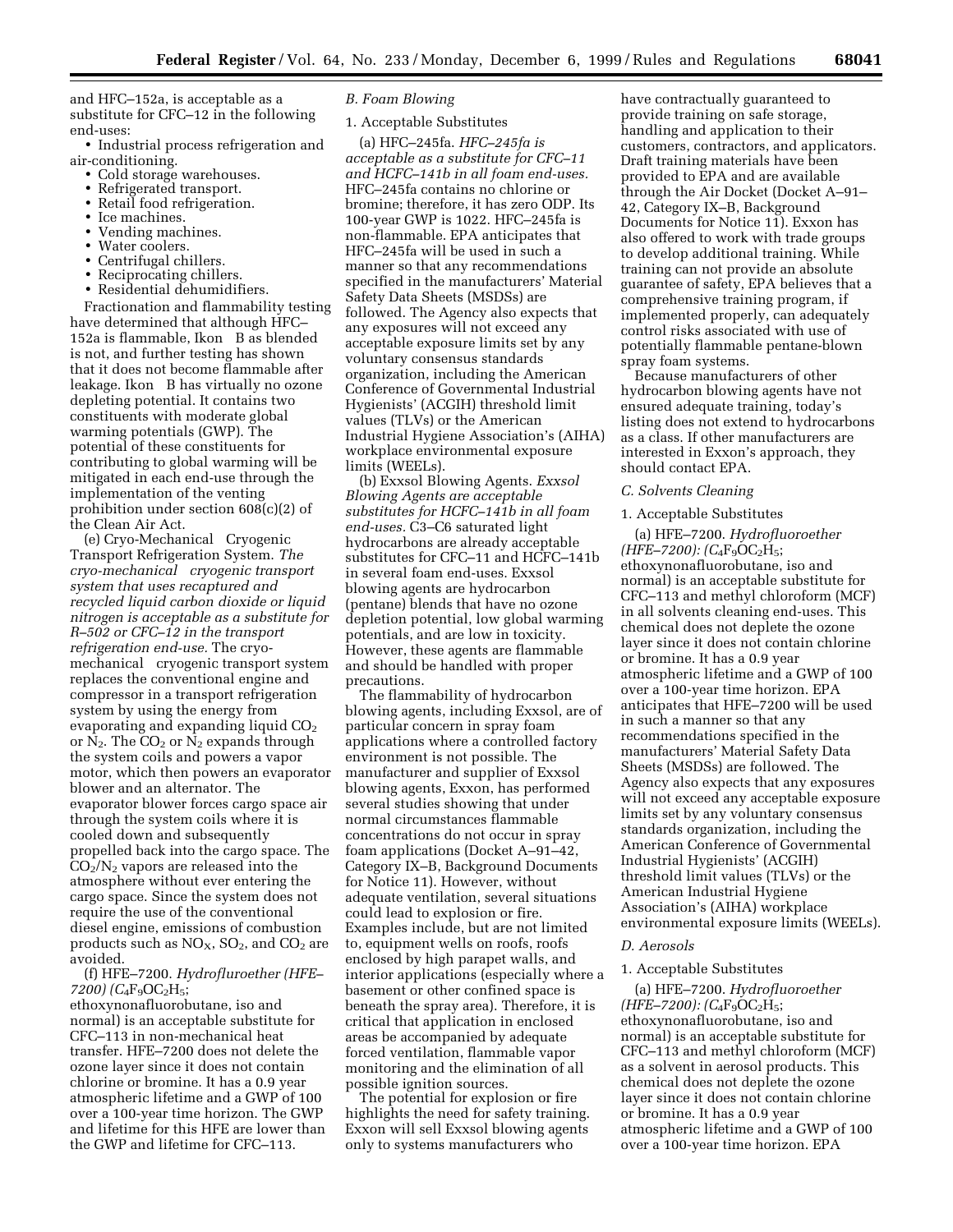and HFC–152a, is acceptable as a substitute for CFC–12 in the following end-uses:

- Industrial process refrigeration and air-conditioning.
	- Cold storage warehouses.
	- Refrigerated transport.
	- Retail food refrigeration.
	- Ice machines.
	- Vending machines.
	- Water coolers.
	- Centrifugal chillers.
	- Reciprocating chillers.
	- Residential dehumidifiers.

Fractionation and flammability testing have determined that although HFC– 152a is flammable, Ikon® B as blended is not, and further testing has shown that it does not become flammable after leakage. Ikon® B has virtually no ozone depleting potential. It contains two constituents with moderate global warming potentials (GWP). The potential of these constituents for contributing to global warming will be mitigated in each end-use through the implementation of the venting prohibition under section 608(c)(2) of the Clean Air Act.

(e) Cryo-Mechanical<sup>®</sup> Cryogenic Transport Refrigeration System. *The cryo-mechanical cryogenic transport system that uses recaptured and recycled liquid carbon dioxide or liquid nitrogen is acceptable as a substitute for R–502 or CFC–12 in the transport refrigeration end-use.* The cryomechanical<sup>®</sup> cryogenic transport system replaces the conventional engine and compressor in a transport refrigeration system by using the energy from evaporating and expanding liquid  $CO<sub>2</sub>$ or  $N_2$ . The  $CO_2$  or  $N_2$  expands through the system coils and powers a vapor motor, which then powers an evaporator blower and an alternator. The evaporator blower forces cargo space air through the system coils where it is cooled down and subsequently propelled back into the cargo space. The  $CO<sub>2</sub>/N<sub>2</sub>$  vapors are released into the atmosphere without ever entering the cargo space. Since the system does not require the use of the conventional diesel engine, emissions of combustion products such as  $NO<sub>x</sub>$ ,  $SO<sub>2</sub>$ , and  $CO<sub>2</sub>$  are avoided.

(f) HFE–7200. *Hydrofluroether (HFE– 7200) (C*4F9OC2H5;

ethoxynonafluorobutane, iso and normal) is an acceptable substitute for CFC–113 in non-mechanical heat transfer. HFE–7200 does not delete the ozone layer since it does not contain chlorine or bromine. It has a 0.9 year atmospheric lifetime and a GWP of 100 over a 100-year time horizon. The GWP and lifetime for this HFE are lower than the GWP and lifetime for CFC–113.

## *B. Foam Blowing*

# 1. Acceptable Substitutes

(a) HFC–245fa. *HFC–245fa is acceptable as a substitute for CFC–11 and HCFC–141b in all foam end-uses.* HFC–245fa contains no chlorine or bromine; therefore, it has zero ODP. Its 100-year GWP is 1022. HFC–245fa is non-flammable. EPA anticipates that HFC–245fa will be used in such a manner so that any recommendations specified in the manufacturers' Material Safety Data Sheets (MSDSs) are followed. The Agency also expects that any exposures will not exceed any acceptable exposure limits set by any voluntary consensus standards organization, including the American Conference of Governmental Industrial Hygienists' (ACGIH) threshold limit values (TLVs) or the American Industrial Hygiene Association's (AIHA) workplace environmental exposure limits (WEELs).

(b) Exxsol Blowing Agents. *Exxsol Blowing Agents are acceptable substitutes for HCFC–141b in all foam end-uses.* C3–C6 saturated light hydrocarbons are already acceptable substitutes for CFC–11 and HCFC–141b in several foam end-uses. Exxsol blowing agents are hydrocarbon (pentane) blends that have no ozone depletion potential, low global warming potentials, and are low in toxicity. However, these agents are flammable and should be handled with proper precautions.

The flammability of hydrocarbon blowing agents, including Exxsol, are of particular concern in spray foam applications where a controlled factory environment is not possible. The manufacturer and supplier of Exxsol blowing agents, Exxon, has performed several studies showing that under normal circumstances flammable concentrations do not occur in spray foam applications (Docket A–91–42, Category IX–B, Background Documents for Notice 11). However, without adequate ventilation, several situations could lead to explosion or fire. Examples include, but are not limited to, equipment wells on roofs, roofs enclosed by high parapet walls, and interior applications (especially where a basement or other confined space is beneath the spray area). Therefore, it is critical that application in enclosed areas be accompanied by adequate forced ventilation, flammable vapor monitoring and the elimination of all possible ignition sources.

The potential for explosion or fire highlights the need for safety training. Exxon will sell Exxsol blowing agents only to systems manufacturers who

have contractually guaranteed to provide training on safe storage, handling and application to their customers, contractors, and applicators. Draft training materials have been provided to EPA and are available through the Air Docket (Docket A–91– 42, Category IX–B, Background Documents for Notice 11). Exxon has also offered to work with trade groups to develop additional training. While training can not provide an absolute guarantee of safety, EPA believes that a comprehensive training program, if implemented properly, can adequately control risks associated with use of potentially flammable pentane-blown spray foam systems.

Because manufacturers of other hydrocarbon blowing agents have not ensured adequate training, today's listing does not extend to hydrocarbons as a class. If other manufacturers are interested in Exxon's approach, they should contact EPA.

#### *C. Solvents Cleaning*

#### 1. Acceptable Substitutes

(a) HFE–7200. *Hydrofluoroether*  $(HFE-7200)$ :  $(C_4F_9OC_2H_5;$ ethoxynonafluorobutane, iso and normal) is an acceptable substitute for CFC–113 and methyl chloroform (MCF) in all solvents cleaning end-uses. This chemical does not deplete the ozone layer since it does not contain chlorine or bromine. It has a 0.9 year atmospheric lifetime and a GWP of 100 over a 100-year time horizon. EPA anticipates that HFE–7200 will be used in such a manner so that any recommendations specified in the manufacturers' Material Safety Data Sheets (MSDSs) are followed. The Agency also expects that any exposures will not exceed any acceptable exposure limits set by any voluntary consensus standards organization, including the American Conference of Governmental Industrial Hygienists' (ACGIH) threshold limit values (TLVs) or the American Industrial Hygiene Association's (AIHA) workplace environmental exposure limits (WEELs).

#### *D. Aerosols*

### 1. Acceptable Substitutes

(a) HFE–7200. *Hydrofluoroether (HFE–7200): (C*4F9OC2H5; ethoxynonafluorobutane, iso and normal) is an acceptable substitute for CFC–113 and methyl chloroform (MCF) as a solvent in aerosol products. This chemical does not deplete the ozone layer since it does not contain chlorine or bromine. It has a 0.9 year atmospheric lifetime and a GWP of 100 over a 100-year time horizon. EPA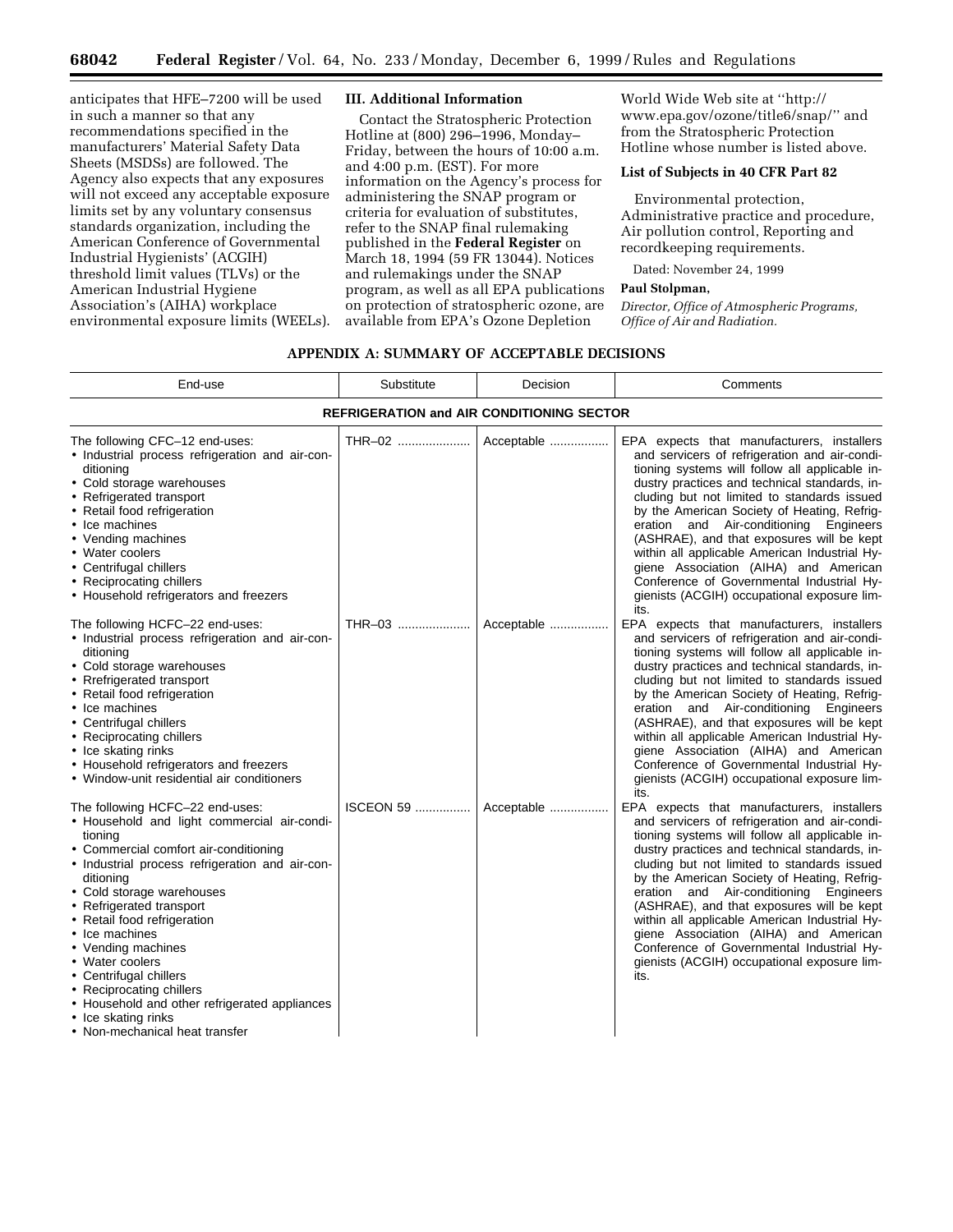anticipates that HFE–7200 will be used in such a manner so that any recommendations specified in the manufacturers' Material Safety Data Sheets (MSDSs) are followed. The Agency also expects that any exposures will not exceed any acceptable exposure limits set by any voluntary consensus standards organization, including the American Conference of Governmental Industrial Hygienists' (ACGIH) threshold limit values (TLVs) or the American Industrial Hygiene Association's (AIHA) workplace environmental exposure limits (WEELs).

## **III. Additional Information**

Contact the Stratospheric Protection Hotline at (800) 296–1996, Monday– Friday, between the hours of 10:00 a.m. and 4:00 p.m. (EST). For more information on the Agency's process for administering the SNAP program or criteria for evaluation of substitutes, refer to the SNAP final rulemaking published in the **Federal Register** on March 18, 1994 (59 FR 13044). Notices and rulemakings under the SNAP program, as well as all EPA publications on protection of stratospheric ozone, are available from EPA's Ozone Depletion

World Wide Web site at ''http:// www.epa.gov/ozone/title6/snap/'' and from the Stratospheric Protection Hotline whose number is listed above.

# **List of Subjects in 40 CFR Part 82**

Environmental protection, Administrative practice and procedure, Air pollution control, Reporting and recordkeeping requirements.

Dated: November 24, 1999

# **Paul Stolpman,**

*Director, Office of Atmospheric Programs, Office of Air and Radiation.*

### **APPENDIX A: SUMMARY OF ACCEPTABLE DECISIONS**

| End-use                                                                                                                                                                                                                                                                                                                                                                                                                                                                                                               | Substitute        | Decision   | Comments                                                                                                                                                                                                                                                                                                                                                                                                                                                                                                                                                                          |  |  |
|-----------------------------------------------------------------------------------------------------------------------------------------------------------------------------------------------------------------------------------------------------------------------------------------------------------------------------------------------------------------------------------------------------------------------------------------------------------------------------------------------------------------------|-------------------|------------|-----------------------------------------------------------------------------------------------------------------------------------------------------------------------------------------------------------------------------------------------------------------------------------------------------------------------------------------------------------------------------------------------------------------------------------------------------------------------------------------------------------------------------------------------------------------------------------|--|--|
| <b>REFRIGERATION and AIR CONDITIONING SECTOR</b>                                                                                                                                                                                                                                                                                                                                                                                                                                                                      |                   |            |                                                                                                                                                                                                                                                                                                                                                                                                                                                                                                                                                                                   |  |  |
| The following CFC-12 end-uses:<br>· Industrial process refrigeration and air-con-<br>ditioning<br>• Cold storage warehouses<br>• Refrigerated transport<br>• Retail food refrigeration<br>• Ice machines<br>• Vending machines<br>• Water coolers<br>• Centrifugal chillers<br>• Reciprocating chillers<br>• Household refrigerators and freezers                                                                                                                                                                     | THR-02            | Acceptable | EPA expects that manufacturers, installers<br>and servicers of refrigeration and air-condi-<br>tioning systems will follow all applicable in-<br>dustry practices and technical standards, in-<br>cluding but not limited to standards issued<br>by the American Society of Heating, Refrig-<br>eration and Air-conditioning Engineers<br>(ASHRAE), and that exposures will be kept<br>within all applicable American Industrial Hy-<br>giene Association (AIHA) and American<br>Conference of Governmental Industrial Hy-<br>gienists (ACGIH) occupational exposure lim-<br>its. |  |  |
| The following HCFC-22 end-uses:<br>· Industrial process refrigeration and air-con-<br>ditioning<br>• Cold storage warehouses<br>• Rrefrigerated transport<br>• Retail food refrigeration<br>• Ice machines<br>• Centrifugal chillers<br>• Reciprocating chillers<br>• Ice skating rinks<br>• Household refrigerators and freezers<br>• Window-unit residential air conditioners                                                                                                                                       | THR-03            | Acceptable | EPA expects that manufacturers, installers<br>and servicers of refrigeration and air-condi-<br>tioning systems will follow all applicable in-<br>dustry practices and technical standards, in-<br>cluding but not limited to standards issued<br>by the American Society of Heating, Refrig-<br>eration and Air-conditioning Engineers<br>(ASHRAE), and that exposures will be kept<br>within all applicable American Industrial Hy-<br>giene Association (AIHA) and American<br>Conference of Governmental Industrial Hy-<br>gienists (ACGIH) occupational exposure lim-<br>its. |  |  |
| The following HCFC-22 end-uses:<br>• Household and light commercial air-condi-<br>tioning<br>• Commercial comfort air-conditioning<br>· Industrial process refrigeration and air-con-<br>ditioning<br>• Cold storage warehouses<br>• Refrigerated transport<br>• Retail food refrigeration<br>• Ice machines<br>• Vending machines<br>• Water coolers<br>• Centrifugal chillers<br>• Reciprocating chillers<br>• Household and other refrigerated appliances<br>• Ice skating rinks<br>• Non-mechanical heat transfer | <b>ISCEON 59 </b> | Acceptable | EPA expects that manufacturers, installers<br>and servicers of refrigeration and air-condi-<br>tioning systems will follow all applicable in-<br>dustry practices and technical standards, in-<br>cluding but not limited to standards issued<br>by the American Society of Heating, Refrig-<br>eration and Air-conditioning Engineers<br>(ASHRAE), and that exposures will be kept<br>within all applicable American Industrial Hy-<br>giene Association (AIHA) and American<br>Conference of Governmental Industrial Hy-<br>gienists (ACGIH) occupational exposure lim-<br>its. |  |  |